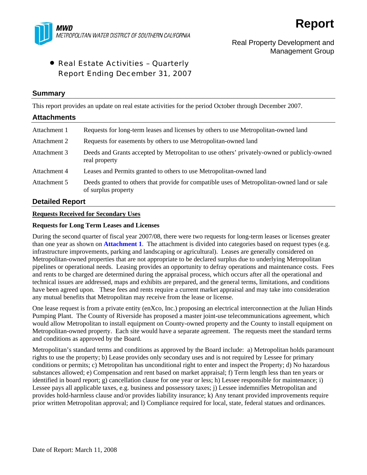

# Real Property Development and Management Group

# • Real Estate Activities – Quarterly Report Ending December 31, 2007

# **Summary**

This report provides an update on real estate activities for the period October through December 2007.

# **Attachments**  Attachment 1 Requests for long-term leases and licenses by others to use Metropolitan-owned land Attachment 2 Requests for easements by others to use Metropolitan-owned land Attachment 3 Deeds and Grants accepted by Metropolitan to use others' privately-owned or publicly-owned real property Attachment 4 Leases and Permits granted to others to use Metropolitan-owned land Attachment 5 Deeds granted to others that provide for compatible uses of Metropolitan-owned land or sale of surplus property

# **Detailed Report**

# **Requests Received for Secondary Uses**

### **Requests for Long Term Leases and Licenses**

During the second quarter of fiscal year 2007/08, there were two requests for long-term leases or licenses greater than one year as shown on **Attachment 1**. The attachment is divided into categories based on request types (e.g. infrastructure improvements, parking and landscaping or agricultural). Leases are generally considered on Metropolitan-owned properties that are not appropriate to be declared surplus due to underlying Metropolitan pipelines or operational needs. Leasing provides an opportunity to defray operations and maintenance costs. Fees and rents to be charged are determined during the appraisal process, which occurs after all the operational and technical issues are addressed, maps and exhibits are prepared, and the general terms, limitations, and conditions have been agreed upon. These fees and rents require a current market appraisal and may take into consideration any mutual benefits that Metropolitan may receive from the lease or license.

One lease request is from a private entity (enXco, Inc.) proposing an electrical interconnection at the Julian Hinds Pumping Plant. The County of Riverside has proposed a master joint-use telecommunications agreement, which would allow Metropolitan to install equipment on County-owned property and the County to install equipment on Metropolitan-owned property. Each site would have a separate agreement. The requests meet the standard terms and conditions as approved by the Board.

Metropolitan's standard terms and conditions as approved by the Board include: a) Metropolitan holds paramount rights to use the property; b) Lease provides only secondary uses and is not required by Lessee for primary conditions or permits; c) Metropolitan has unconditional right to enter and inspect the Property; d) No hazardous substances allowed; e) Compensation and rent based on market appraisal; f) Term length less than ten years or identified in board report; g) cancellation clause for one year or less; h) Lessee responsible for maintenance; i) Lessee pays all applicable taxes, e.g. business and possessory taxes; j) Lessee indemnifies Metropolitan and provides hold-harmless clause and/or provides liability insurance; k) Any tenant provided improvements require prior written Metropolitan approval; and l) Compliance required for local, state, federal statues and ordinances.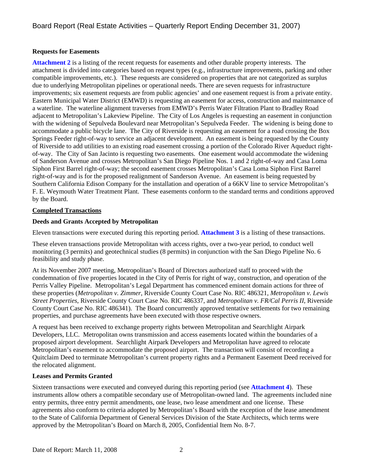# **Requests for Easements**

**Attachment 2** is a listing of the recent requests for easements and other durable property interests. The attachment is divided into categories based on request types (e.g., infrastructure improvements, parking and other compatible improvements, etc.). These requests are considered on properties that are not categorized as surplus due to underlying Metropolitan pipelines or operational needs. There are seven requests for infrastructure improvements; six easement requests are from public agencies' and one easement request is from a private entity. Eastern Municipal Water District (EMWD) is requesting an easement for access, construction and maintenance of a waterline. The waterline alignment traverses from EMWD's Perris Water Filtration Plant to Bradley Road adjacent to Metropolitan's Lakeview Pipeline. The City of Los Angeles is requesting an easement in conjunction with the widening of Sepulveda Boulevard near Metropolitan's Sepulveda Feeder. The widening is being done to accommodate a public bicycle lane. The City of Riverside is requesting an easement for a road crossing the Box Springs Feeder right-of-way to service an adjacent development. An easement is being requested by the County of Riverside to add utilities to an existing road easement crossing a portion of the Colorado River Aqueduct rightof-way. The City of San Jacinto is requesting two easements. One easement would accommodate the widening of Sanderson Avenue and crosses Metropolitan's San Diego Pipeline Nos. 1 and 2 right-of-way and Casa Loma Siphon First Barrel right-of-way; the second easement crosses Metropolitan's Casa Loma Siphon First Barrel right-of-way and is for the proposed realignment of Sanderson Avenue. An easement is being requested by Southern California Edison Company for the installation and operation of a 66KV line to service Metropolitan's F. E. Weymouth Water Treatment Plant. These easements conform to the standard terms and conditions approved by the Board.

# **Completed Transactions**

# **Deeds and Grants Accepted by Metropolitan**

Eleven transactions were executed during this reporting period. **Attachment 3** is a listing of these transactions.

These eleven transactions provide Metropolitan with access rights, over a two-year period, to conduct well monitoring (3 permits) and geotechnical studies (8 permits) in conjunction with the San Diego Pipeline No. 6 feasibility and study phase.

At its November 2007 meeting, Metropolitan's Board of Directors authorized staff to proceed with the condemnation of five properties located in the City of Perris for right of way, construction, and operation of the Perris Valley Pipeline. Metropolitan's Legal Department has commenced eminent domain actions for three of these properties (*Metropolitan v. Zimmer*, Riverside County Court Case No. RIC 486321, *Metropolitan v. Lewis Street Properties*, Riverside County Court Case No. RIC 486337, and *Metropolitan v. FR/Cal Perris II*, Riverside County Court Case No. RIC 486341). The Board concurrently approved tentative settlements for two remaining properties, and purchase agreements have been executed with those respective owners.

A request has been received to exchange property rights between Metropolitan and Searchlight Airpark Developers, LLC. Metropolitan owns transmission and access easements located within the boundaries of a proposed airport development. Searchlight Airpark Developers and Metropolitan have agreed to relocate Metropolitan's easement to accommodate the proposed airport. The transaction will consist of recording a Quitclaim Deed to terminate Metropolitan's current property rights and a Permanent Easement Deed received for the relocated alignment.

# **Leases and Permits Granted**

Sixteen transactions were executed and conveyed during this reporting period (see **Attachment 4**). These instruments allow others a compatible secondary use of Metropolitan-owned land. The agreements included nine entry permits, three entry permit amendments, one lease, two lease amendment and one license. These agreements also conform to criteria adopted by Metropolitan's Board with the exception of the lease amendment to the State of California Department of General Services Division of the State Architects, which terms were approved by the Metropolitan's Board on March 8, 2005, Confidential Item No. 8-7.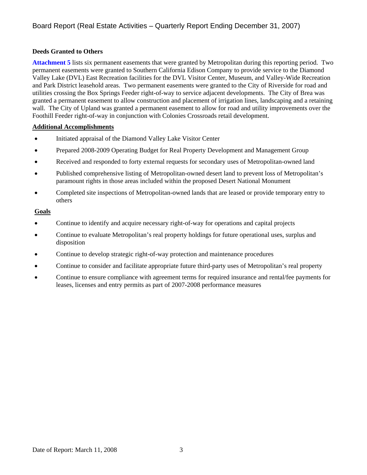# **Deeds Granted to Others**

**Attachment 5** lists six permanent easements that were granted by Metropolitan during this reporting period. Two permanent easements were granted to Southern California Edison Company to provide service to the Diamond Valley Lake (DVL) East Recreation facilities for the DVL Visitor Center, Museum, and Valley-Wide Recreation and Park District leasehold areas. Two permanent easements were granted to the City of Riverside for road and utilities crossing the Box Springs Feeder right-of-way to service adjacent developments. The City of Brea was granted a permanent easement to allow construction and placement of irrigation lines, landscaping and a retaining wall. The City of Upland was granted a permanent easement to allow for road and utility improvements over the Foothill Feeder right-of-way in conjunction with Colonies Crossroads retail development.

### **Additional Accomplishments**

- Initiated appraisal of the Diamond Valley Lake Visitor Center
- Prepared 2008-2009 Operating Budget for Real Property Development and Management Group
- Received and responded to forty external requests for secondary uses of Metropolitan-owned land
- Published comprehensive listing of Metropolitan-owned desert land to prevent loss of Metropolitan's paramount rights in those areas included within the proposed Desert National Monument
- Completed site inspections of Metropolitan-owned lands that are leased or provide temporary entry to others

# **Goals**

- Continue to identify and acquire necessary right-of-way for operations and capital projects
- Continue to evaluate Metropolitan's real property holdings for future operational uses, surplus and disposition
- Continue to develop strategic right-of-way protection and maintenance procedures
- Continue to consider and facilitate appropriate future third-party uses of Metropolitan's real property
- Continue to ensure compliance with agreement terms for required insurance and rental/fee payments for leases, licenses and entry permits as part of 2007-2008 performance measures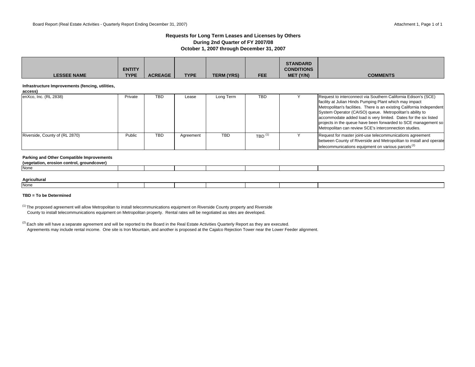### **Requests for Long Term Leases and Licenses by Others During 2nd Quarter of FY 2007/08 October 1, 2007 through December 31, 2007**

| <b>LESSEE NAME</b>                                          | <b>ENTITY</b><br><b>TYPE</b> | <b>ACREAGE</b> | <b>TYPE</b> | <b>TERM (YRS)</b> | <b>FEE</b>                        | <b>STANDARD</b><br><b>CONDITIONS</b><br>MET (Y/N) | <b>COMMENTS</b>                                                                                                                                                                                                                                                                                                                                                                                                                                                 |
|-------------------------------------------------------------|------------------------------|----------------|-------------|-------------------|-----------------------------------|---------------------------------------------------|-----------------------------------------------------------------------------------------------------------------------------------------------------------------------------------------------------------------------------------------------------------------------------------------------------------------------------------------------------------------------------------------------------------------------------------------------------------------|
| Infrastructure Improvements (fencing, utilities,<br>access) |                              |                |             |                   |                                   |                                                   |                                                                                                                                                                                                                                                                                                                                                                                                                                                                 |
| enXco, Inc. (RL 2838)                                       | Private                      | <b>TBD</b>     | Lease       | Long Term         | <b>TBD</b>                        |                                                   | Request to interconnect via Southern California Edison's (SCE)<br>facility at Julian Hinds Pumping Plant which may impact<br>Metropolitan's facilities. There is an existing California Independent<br>System Operator (CAISO) queue. Metropolitan's ability to<br>accommodate added load is very limited. Dates for the six listed<br>projects in the queue have been forwarded to SCE management so<br>Metropolitan can review SCE's interconnection studies. |
| Riverside, County of (RL 2870)                              | Public                       | <b>TBD</b>     | Agreement   | <b>TBD</b>        | $TBD$ <sup><math>(1)</math></sup> |                                                   | Request for master joint-use telecommunications agreement<br>between County of Riverside and Metropolitan to install and operate<br>telecommunications equipment on various parcels <sup>(2)</sup>                                                                                                                                                                                                                                                              |

#### **Parking and Other Compatible Improvements**

| . aroundcover)<br>erosion control.<br>(vegetation |  |  |  |  |
|---------------------------------------------------|--|--|--|--|
| None                                              |  |  |  |  |
|                                                   |  |  |  |  |
| A material transit                                |  |  |  |  |

| Agricultural |  |  |  |  |
|--------------|--|--|--|--|
| None         |  |  |  |  |

### **TBD = To be Determined**

<sup>(1)</sup> The proposed agreement will allow Metropolitan to install telecommunications equipment on Riverside County property and Riverside County to install telecommunications equipment on Metropolitan property. Rental rates will be negotiated as sites are developed.

 $^{(2)}$  Each site will have a separate agreement and will be reported to the Board in the Real Estate Activities Quarterly Report as they are executed. Agreements may include rental income. One site is Iron Mountain, and another is proposed at the Cajalco Rejection Tower near the Lower Feeder alignment.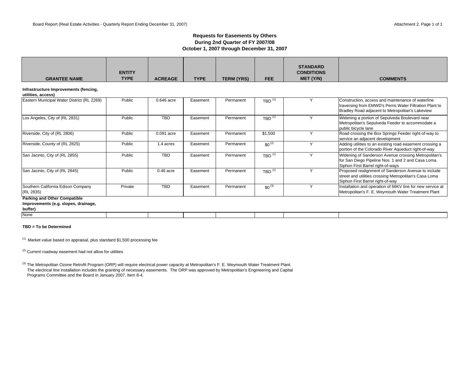### **Requests for Easements by Others During 2nd Quarter of FY 2007/08 October 1, 2007 through December 31, 2007**

| 0.646 acre  |          |           |                                   |              |                                                                                                                                                                  |
|-------------|----------|-----------|-----------------------------------|--------------|------------------------------------------------------------------------------------------------------------------------------------------------------------------|
|             |          |           |                                   |              |                                                                                                                                                                  |
|             | Easement | Permanent | $TBD$ <sup><math>(1)</math></sup> |              | Construction, access and maintenance of waterline<br>traversing from EMWD's Perris Water Filtration Plant to<br>Bradley Road adjacent to Metropolitan's Lakeview |
| <b>TBD</b>  | Easement | Permanent | $TBD$ <sup><math>(1)</math></sup> | $\checkmark$ | Widening a portion of Sepulveda Boulevard near<br>Metropolitan's Sepulveda Feeder to accommodate a<br>public bicycle lane                                        |
| 0.091 acre  | Easement | Permanent | \$1,500                           | $\checkmark$ | Road crossing the Box Springs Feeder right-of-way to<br>service an adjacent development                                                                          |
| 1.4 acres   | Easement | Permanent | $$0^{(2)}$$                       | $\vee$       | Adding utilities to an existing road easement crossing a<br>portion of the Colorado River Aqueduct right-of-way                                                  |
| <b>TBD</b>  | Easement | Permanent | $TBD$ <sup><math>(1)</math></sup> | $\checkmark$ | Widening of Sanderson Avenue crossing Metropolitan's<br>for San Diego Pipeline Nos. 1 and 2 and Casa Loma<br>Siphon First Barrel right-of-ways                   |
| $0.46$ acre | Easement | Permanent | $TBD$ <sup>(1)</sup>              | $\checkmark$ | Proposed realignment of Sanderson Avenue to include<br>street and utilities crossing Metropolitan's Casa Loma<br>Siphon First Barrel right-of-way                |
| <b>TBD</b>  | Easement | Permanent | $$0^{(3)}$$                       | $\checkmark$ | Installation and operation of 66KV line for new service at<br>Metropolitan's F. E. Weymouth Water Treatment Plant                                                |
|             |          |           |                                   |              |                                                                                                                                                                  |

**Improvements (e.g. slopes, drainage,** 

**buffer)**

None

#### **TBD = To be Determined**

 $(1)$  Market value based on appraisal, plus standard \$1,500 processing fee

 $(2)$  Current roadway easement had not allow for utilities

 The electrical line installation includes the granting of necessary easements. The ORP was approved by Metropolitan's Engineering and Capital Programs Committee and the Board in January 2007, Item 8-4. <sup>(3)</sup> The Metropolitan Ozone Retrofit Program (ORP) will require electrical power capacity at Metropolitan's F. E. Weymouth Water Treatment Plant.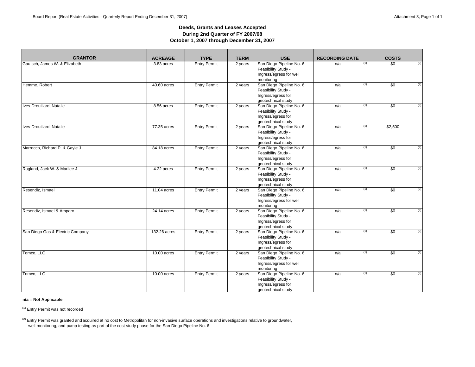### **Deeds, Grants and Leases Accepted During 2nd Quarter of FY 2007/08 October 1, 2007 through December 31, 2007**

| <b>GRANTOR</b>                   | <b>ACREAGE</b> | <b>TYPE</b>         | <b>TERM</b> | <b>USE</b>                                                                                  | <b>RECORDING DATE</b> | <b>COSTS</b>                  |
|----------------------------------|----------------|---------------------|-------------|---------------------------------------------------------------------------------------------|-----------------------|-------------------------------|
| Gautsch, James W. & Elizabeth    | 3.83 acres     | <b>Entry Permit</b> | 2 years     | San Diego Pipeline No. 6<br>Feasibility Study -<br>Ingress/egress for well<br>monitoring    | n/a                   | (2)<br>$\overline{50}$<br>(1) |
| Hemme, Robert                    | 40.60 acres    | <b>Entry Permit</b> | 2 years     | San Diego Pipeline No. 6<br>Feasibility Study -<br>Ingress/egress for<br>geotechnical study | n/a                   | (2)<br>(1)<br>$\overline{50}$ |
| Ives-Drouillard, Natalie         | 8.56 acres     | <b>Entry Permit</b> | 2 years     | San Diego Pipeline No. 6<br>Feasibility Study -<br>Ingress/egress for<br>geotechnical study | n/a                   | \$0<br>(2)<br>(1)             |
| Ives-Drouillard, Natalie         | 77.35 acres    | <b>Entry Permit</b> | 2 years     | San Diego Pipeline No. 6<br>Feasibility Study -<br>Ingress/egress for<br>geotechnical study | n/a                   | (1)<br>\$2,500                |
| Marrocco, Richard P. & Gayle J.  | 84.18 acres    | <b>Entry Permit</b> | 2 years     | San Diego Pipeline No. 6<br>Feasibility Study -<br>Ingress/egress for<br>geotechnical study | n/a                   | \$0<br>(2)<br>(1)             |
| Ragland, Jack W. & Marilee J.    | 4.22 acres     | <b>Entry Permit</b> | 2 years     | San Diego Pipeline No. 6<br>Feasibility Study -<br>Ingress/egress for<br>geotechnical study | n/a                   | (1)<br>$\overline{50}$<br>(2) |
| Resendiz, Ismael                 | 11.04 acres    | <b>Entry Permit</b> | 2 years     | San Diego Pipeline No. 6<br>Feasibility Study -<br>Ingress/egress for well<br>monitoring    | n/a                   | (2)<br>(1)<br>$\overline{50}$ |
| Resendiz, Ismael & Amparo        | 24.14 acres    | <b>Entry Permit</b> | 2 years     | San Diego Pipeline No. 6<br>Feasibility Study -<br>Ingress/egress for<br>geotechnical study | n/a                   | (1)<br>$\overline{50}$<br>(2) |
| San Diego Gas & Electric Company | 132.26 acres   | <b>Entry Permit</b> | 2 years     | San Diego Pipeline No. 6<br>Feasibility Study -<br>Ingress/egress for<br>geotechnical study | n/a                   | (2)<br>(1)<br>\$0             |
| Tomco, LLC                       | 10.00 acres    | <b>Entry Permit</b> | 2 years     | San Diego Pipeline No. 6<br>Feasibility Study -<br>Ingress/egress for well<br>monitoring    | n/a                   | (2)<br>(1)<br>$\overline{50}$ |
| Tomco, LLC                       | $10.00$ acres  | <b>Entry Permit</b> | 2 years     | San Diego Pipeline No. 6<br>Feasibility Study -<br>Ingress/egress for<br>geotechnical study | n/a                   | (1)<br>(2)<br>\$0             |

### **n/a = Not Applicable**

(1) Entry Permit was not recorded

 $(2)$  Entry Permit was granted and acquired at no cost to Metropolitan for non-invasive surface operations and investigations relative to groundwater, well monitoring, and pump testing as part of the cost study phase for the San Diego Pipeline No. 6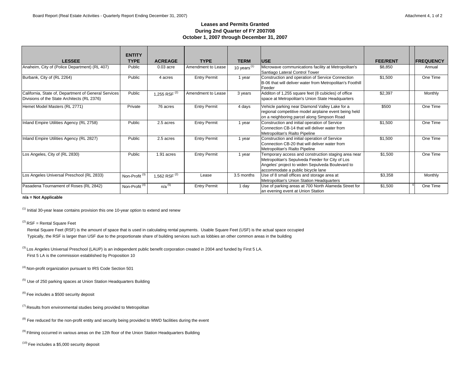### **Leases and Permits GrantedDuring 2nd Quarter of FY 2007/08 October 1, 2007 through December 31, 2007**

|                                                                                                     | <b>ENTITY</b>             |                 |                     |                |                                                                                                                                                                                                 |                 |                  |
|-----------------------------------------------------------------------------------------------------|---------------------------|-----------------|---------------------|----------------|-------------------------------------------------------------------------------------------------------------------------------------------------------------------------------------------------|-----------------|------------------|
| <b>LESSEE</b>                                                                                       | <b>TYPE</b>               | <b>ACREAGE</b>  | <b>TYPE</b>         | <b>TERM</b>    | <b>IUSE</b>                                                                                                                                                                                     | <b>FEE/RENT</b> | <b>FREQUENCY</b> |
| Anaheim, City of (Police Department) (RL 407)                                                       | Public                    | $0.03$ acre     | Amendment to Lease  | 10 years $(1)$ | Microwave communications facility at Metropolitan's<br>Santiago Lateral Control Tower                                                                                                           | \$8,850         | Annual           |
| Burbank, City of (RL 2264)                                                                          | Public                    | 4 acres         | <b>Entry Permit</b> | 1 year         | Construction and operation of Service Connection<br>B-06 that will deliver water from Metropolitan's Foothill<br>Feeder                                                                         | \$1,500         | One Time         |
| California, State of, Department of General Services<br>Divisions of the State Architects (RL 2376) | Public                    | 1,255 RSF $(2)$ | Amendment to Lease  | 3 years        | Additon of 1,255 square feet (8 cubicles) of office<br>space at Metropolitan's Union State Headquarters                                                                                         | \$2,397         | Monthly          |
| Hemet Model Masters (RL 2771)                                                                       | Private                   | 76 acres        | <b>Entry Permit</b> | 4 days         | Vehicle parking near Diamond Valley Lake for a<br>regional competitive model airplaine event being held<br>on a neighboring parcel along Simpson Road                                           | \$500           | One Time         |
| Inland Empire Utilities Agency (RL 2758)                                                            | Public                    | 2.5 acres       | <b>Entry Permit</b> | 1 year         | Construction and initial operation of Service<br>Connection CB-14 that will deliver water from<br>Metropolitan's Rialto Pipeline                                                                | \$1,500         | One Time         |
| Inland Empire Utilities Agency (RL 2827)                                                            | Public                    | 2.5 acres       | <b>Entry Permit</b> | 1 year         | Construction and initial operation of Service<br>Connection CB-20 that will deliver water from<br>Metropolitan's Rialto Pipeline                                                                | \$1,500         | One Time         |
| Los Angeles, City of (RL 2830)                                                                      | Public                    | 1.91 acres      | <b>Entry Permit</b> | 1 year         | Temporary access and construction staging area near<br>Metropolitan's Sepulveda Feeder for City of Los<br>Angeles' project to widen Sepulveda Boulevard to<br>accommodate a public bicycle lane | \$1,500         | One Time         |
| Los Angeles Universal Preschool (RL 2833)                                                           | Non-Profit <sup>(3)</sup> | 1,562 RSF $(2)$ | Lease               | 3.5 months     | Use of 8 small offices and storage area at<br>Metropolitan's Union Station Headquarters                                                                                                         | \$3,358         | Monthly          |
| Pasadena Tournament of Roses (RL 2842)                                                              | Non-Profit <sup>(4)</sup> | $n/a^{(5)}$     | <b>Entry Permit</b> | 1 day          | Use of parking areas at 700 North Alameda Street for<br>an evening event at Union Station                                                                                                       | \$1,500         | One Time         |

**n/a = Not Applicable**

 $<sup>(1)</sup>$  Initial 30-year lease contains provision this one 10-year option to extend and renew</sup>

 $(2)$  RSF = Rental Square Feet

 Rental Square Feet (RSF) is the amount of space that is used in calculating rental payments. Usable Square Feet (USF) is the actual space occupied Typically, the RSF is larger than USF due to the proportionate share of building services such as lobbies an other common areas in the building

<sup>(3)</sup> Los Angeles Universal Preschool (LAUP) is an independent public benefit corporation created in 2004 and funded by First 5 LA. First 5 LA is the commission established by Proposition 10

(4) Non-profit organization pursuant to IRS Code Section 501

 $<sup>(5)</sup>$  Use of 250 parking spaces at Union Station Headquarters Building</sup>

(6) Fee includes a \$500 security deposit

 $(7)$  Results from environmental studies being provided to Metropolitan

 $<sup>(8)</sup>$  Fee reduced for the non-profit entity and security being provided to MWD facilities during the event</sup>

<sup>(9)</sup> Filming occurred in various areas on the 12th floor of the Union Station Headquarters Building

 $(10)$  Fee includes a \$5,000 security deposit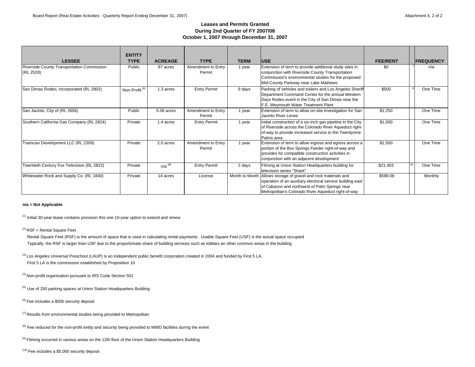### **Leases and Permits GrantedDuring 2nd Quarter of FY 2007/08 October 1, 2007 through December 31, 2007**

| <b>LESSEE</b>                                           | <b>ENTITY</b><br><b>TYPE</b> | <b>ACREAGE</b>       | <b>TYPE</b>                  | <b>TERM</b> | <b>IUSE</b>                                                                                                                                                                                                                          | <b>FEE/RENT</b> | <b>FREQUENCY</b> |
|---------------------------------------------------------|------------------------------|----------------------|------------------------------|-------------|--------------------------------------------------------------------------------------------------------------------------------------------------------------------------------------------------------------------------------------|-----------------|------------------|
| Riverside County Transportation Commission<br>(RL 2528) | Public                       | 87 acres             | Amendment to Entry<br>Permit | 1 year      | Extension of term to provide additional study sites in<br>conjunction with Riverside County Transportation<br>Commission's environmental studies for the proposed<br>Mid-County Parkway near Lake Mathews                            | \$0             | n/a              |
| San Dimas Rodeo, Incorporated (RL 2802)                 | Non-Profit <sup>(4)</sup>    | 1.3 acres            | <b>Entry Permit</b>          | 9 days      | Parking of vehicles and trailers and Los Angeles Sheriff<br>Department Command Center for the annual Western<br>Days Rodeo event in the City of San Dimas near the<br>F.E. Weymouth Water Treatment Plant                            | \$500           | One Time         |
| San Jacinto, City of (RL 2656)                          | Public                       | 5.06 acres           | Amendment to Entry<br>Permit | 1 year      | Extension of term to allow on-site investigation for San<br>Jacinto River Levee                                                                                                                                                      | \$1.250         | One Time         |
| Southern California Gas Company (RL 2824)               | Private                      | 1.4 acres            | <b>Entry Permit</b>          | 1 year      | Initial construction of a six-inch gas pipeline in the City<br>of Riverside across the Colorado River Aqueduct right-<br>of-way to provide increased service to the Twentynine<br>Palms area                                         | \$1,500         | One Time         |
| Transcan Development LLC (RL 2309)                      | Private                      | 2.0 acres            | Amendment to Entry<br>Permit | 1 year      | Extension of term to allow ingress and egress across a<br>portion of the Box Springs Feeder right-of-way and<br>provides for compatible construction activities in<br>conjunction with an adjacent development                       | \$1,500         | One Time         |
| Twentieth Century Fox Television (RL 2822)              | Private                      | $n/a$ <sup>(9)</sup> | <b>Entry Permit</b>          | 2 days      | Filming at Union Station Headquarters building for<br>television series "Shark"                                                                                                                                                      | \$21,403        | One Time         |
| Whitewater Rock and Supply Co. (RL 1840)                | Private                      | 14 acres             | License                      |             | Month to Month Allows storage of gravel and rock materials and<br>operation of an auxiliary electrical service building east<br>of Cabazon and northwest of Palm Springs near<br>Metropolitan's Colorado River Aqueduct right-of-way | \$588.08        | Monthly          |

### **n/a = Not Applicable**

 $<sup>(1)</sup>$  Initial 30-year lease contains provision this one 10-year option to extend and renew</sup>

 $(2)$  RSF = Rental Square Feet

 Rental Square Feet (RSF) is the amount of space that is used in calculating rental payments. Usable Square Feet (USF) is the actual space occupied Typically, the RSF is larger than USF due to the proportionate share of building services such as lobbies an other common areas in the building

<sup>(3)</sup> Los Angeles Universal Preschool (LAUP) is an independent public benefit corporation created in 2004 and funded by First 5 LA. First 5 LA is the commission established by Proposition 10

(4) Non-profit organization pursuant to IRS Code Section 501

<sup>(5)</sup> Use of 250 parking spaces at Union Station Headquarters Building

 $(6)$  Fee includes a \$500 security deposit

 $(7)$  Results from environmental studies being provided to Metropolitan

<sup>(8)</sup> Fee reduced for the non-profit entity and security being provided to MWD facilities during the event

 $<sup>(9)</sup>$  Filming occurred in various areas on the 12th floor of the Union Station Headquarters Building</sup>

 $(10)$  Fee includes a \$5,000 security deposit